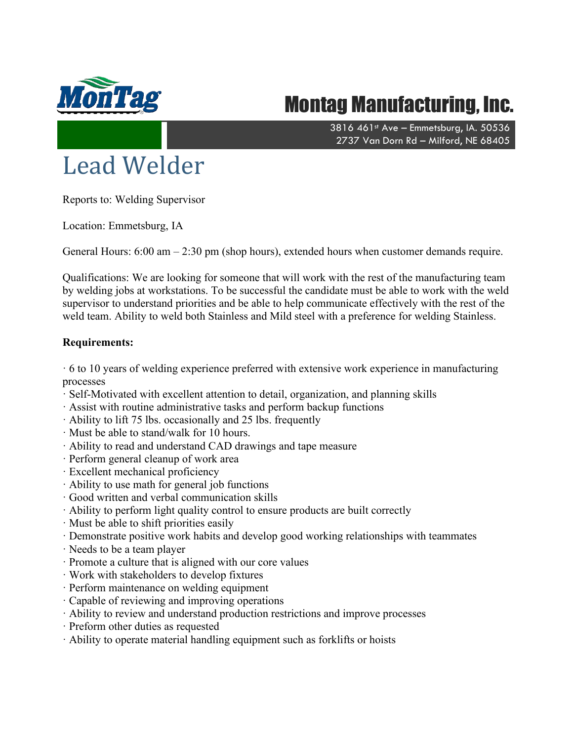

## Montag Manufacturing, Inc.

3816 461st Ave - Emmetsburg, IA. 50536 2737 Van Dorn Rd – Milford, NE 68405

## Lead Welder

Reports to: Welding Supervisor

Location: Emmetsburg, IA

General Hours: 6:00 am – 2:30 pm (shop hours), extended hours when customer demands require.

Qualifications: We are looking for someone that will work with the rest of the manufacturing team by welding jobs at workstations. To be successful the candidate must be able to work with the weld supervisor to understand priorities and be able to help communicate effectively with the rest of the weld team. Ability to weld both Stainless and Mild steel with a preference for welding Stainless.

## **Requirements:**

 $\cdot$  6 to 10 years of welding experience preferred with extensive work experience in manufacturing processes

- · Self-Motivated with excellent attention to detail, organization, and planning skills
- · Assist with routine administrative tasks and perform backup functions
- · Ability to lift 75 lbs. occasionally and 25 lbs. frequently
- · Must be able to stand/walk for 10 hours.
- · Ability to read and understand CAD drawings and tape measure
- · Perform general cleanup of work area
- · Excellent mechanical proficiency
- · Ability to use math for general job functions
- · Good written and verbal communication skills
- · Ability to perform light quality control to ensure products are built correctly
- · Must be able to shift priorities easily
- · Demonstrate positive work habits and develop good working relationships with teammates
- · Needs to be a team player
- · Promote a culture that is aligned with our core values
- · Work with stakeholders to develop fixtures
- · Perform maintenance on welding equipment
- · Capable of reviewing and improving operations
- · Ability to review and understand production restrictions and improve processes
- · Preform other duties as requested
- · Ability to operate material handling equipment such as forklifts or hoists